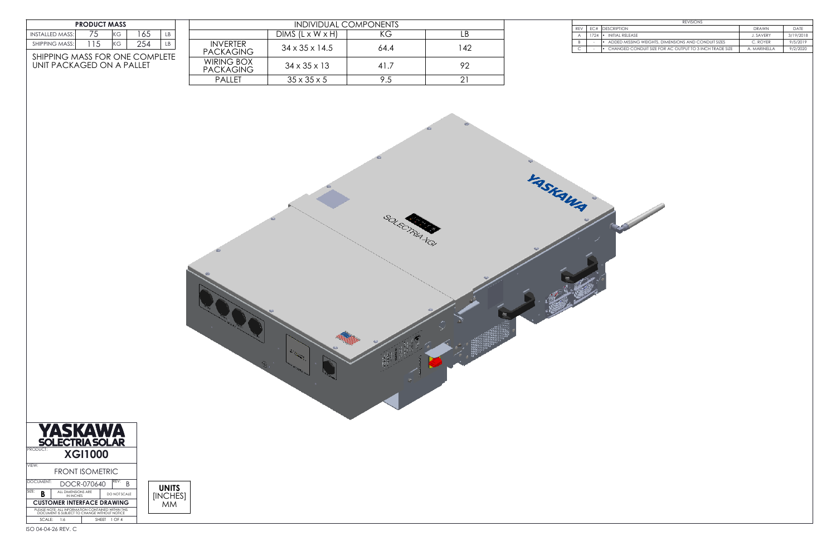| <b>REVISIONS</b> |                 |                                                         |                  |           |
|------------------|-----------------|---------------------------------------------------------|------------------|-----------|
| <b>RFV</b>       | FC#             | <b>IDESCRIPTION</b>                                     | <b>DRAWN</b>     | DATF      |
|                  | $724$ $\bullet$ | INITIAL RELEASE                                         | <b>J. SAVFRY</b> | 3/19/2018 |
|                  |                 | ADDED MISSING WEIGHTS, DIMENSIONS AND CONDUIT SIZES     | C. ROYFR         | 9/5/2019  |
|                  |                 | CHANGED CONDUIT SIZE FOR AC OUTPUT TO 3 INCH TRADE SIZE | A. MARINFII A    | 9/2/2020  |



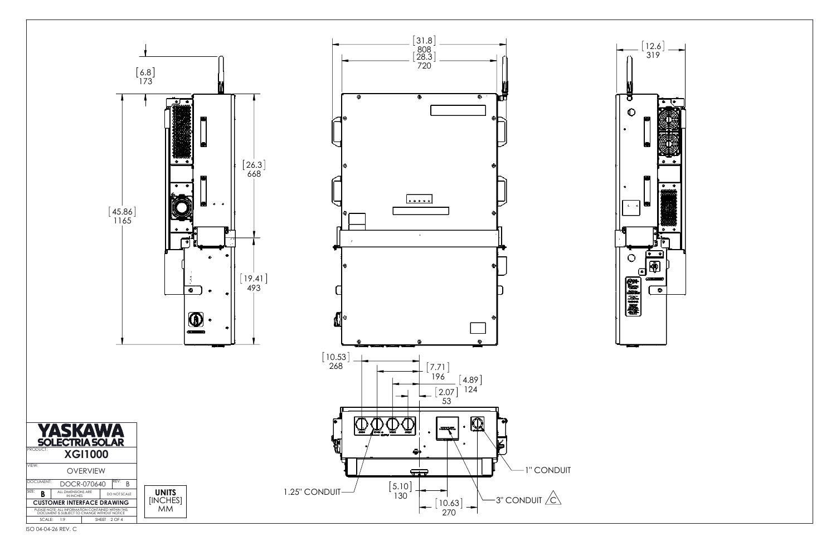



ISO 04-04-26 REV. C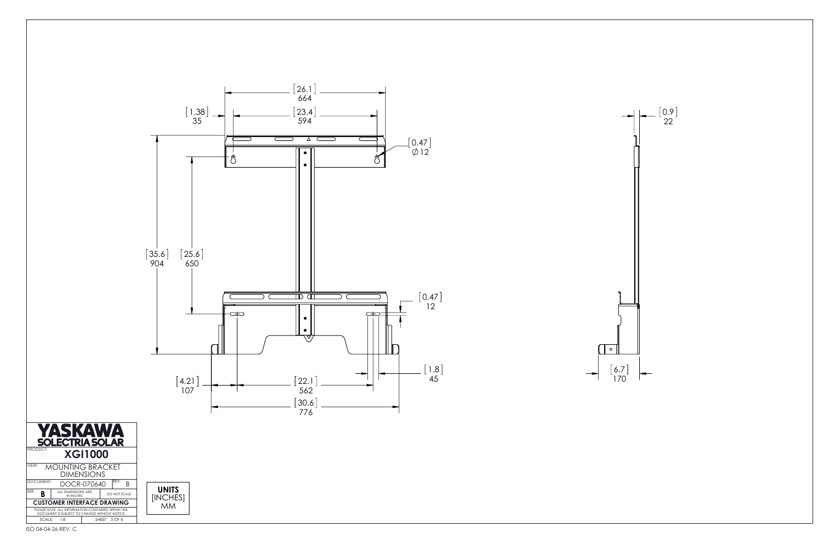



 $\rightarrow$ 

ISO 04-04-26 REV. C